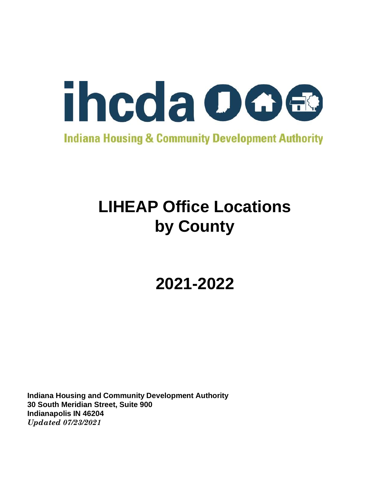

**Indiana Housing & Community Development Authority** 

# **LIHEAP Office Locations by County**

**2021-2022**

**Indiana Housing and Community Development Authority 30 South Meridian Street, Suite 900 Indianapolis IN 46204** *Updated 07/23/2021*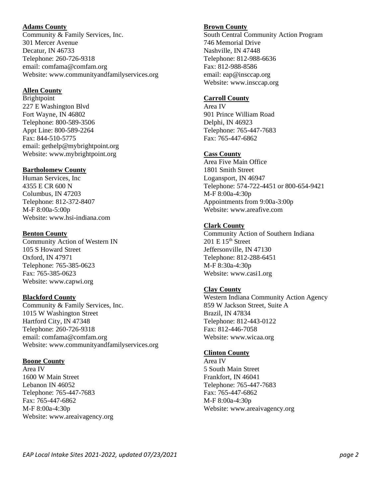## **Adams County**

Community & Family Services, Inc. 301 Mercer Avenue Decatur, IN 46733 Telephone: 260-726-9318 email: comfama@comfam.org Website: www.communityandfamilyservices.org

## **Allen County**

Brightpoint 227 E Washington Blvd Fort Wayne, IN 46802 Telephone: 800-589-3506 Appt Line: 800-589-2264 Fax: 844-510-5775 email: gethelp@mybrightpoint.org Website: www.mybrightpoint.org

## **Bartholomew County**

Human Services, Inc 4355 E CR 600 N Columbus, IN 47203 Telephone: 812-372-8407 M-F 8:00a-5:00p Website: www.hsi-indiana.com

## **Benton County**

Community Action of Western IN 105 S Howard Street Oxford, IN 47971 Telephone: 765-385-0623 Fax: 765-385-0623 Website: www.capwi.org

# **Blackford County**

Community & Family Services, Inc. 1015 W Washington Street Hartford City, IN 47348 Telephone: 260-726-9318 email: comfama@comfam.org Website: www.communityandfamilyservices.org

#### **Boone County**

Area IV 1600 W Main Street Lebanon IN 46052 Telephone: 765-447-7683 Fax: 765-447-6862 M-F 8:00a-4:30p Website: www.areaivagency.org

## **Brown County**

South Central Community Action Program 746 Memorial Drive Nashville, IN 47448 Telephone: 812-988-6636 Fax: 812-988-8586 email: eap@insccap.org Website: www.insccap.org

## **Carroll County**

Area IV 901 Prince William Road Delphi, IN 46923 Telephone: 765-447-7683 Fax: 765-447-6862

# **Cass County**

Area Five Main Office 1801 Smith Street Logansport, IN 46947 Telephone: 574-722-4451 or 800-654-9421 M-F 8:00a-4:30p Appointments from 9:00a-3:00p Website: www.areafive.com

# **Clark County**

Community Action of Southern Indiana  $201$  E  $15<sup>th</sup>$  Street Jeffersonville, IN 47130 Telephone: 812-288-6451 M-F 8:30a-4:30p Website: www.casi1.org

# **Clay County**

Western Indiana Community Action Agency 859 W Jackson Street, Suite A Brazil, IN 47834 Telephone: 812-443-0122 Fax: 812-446-7058 Website: www.wicaa.org

#### **Clinton County**

Area IV 5 South Main Street Frankfort, IN 46041 Telephone: 765-447-7683 Fax: 765-447-6862 M-F 8:00a-4:30p Website: www.areaivagency.org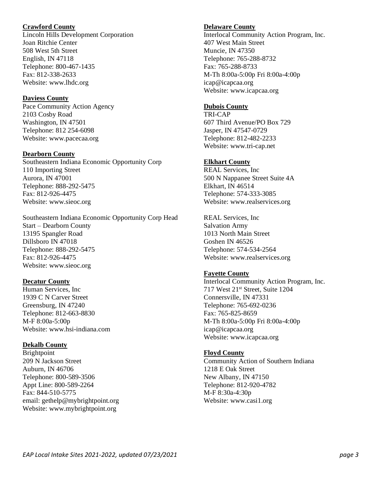## **Crawford County**

Lincoln Hills Development Corporation Joan Ritchie Center 508 West 5th Street English, IN 47118 Telephone: 800-467-1435 Fax: 812-338-2633 Website: www.lhdc.org

## **Daviess County**

Pace Community Action Agency 2103 Cosby Road Washington, IN 47501 Telephone: 812 254-6098 Website: www.pacecaa.org

# **Dearborn County**

Southeastern Indiana Economic Opportunity Corp 110 Importing Street Aurora, IN 47001 Telephone: 888-292-5475 Fax: 812-926-4475 Website: www.sieoc.org

Southeastern Indiana Economic Opportunity Corp Head Start – Dearborn County 13195 Spangler Road Dillsboro IN 47018 Telephone: 888-292-5475 Fax: 812-926-4475 Website: www.sieoc.org

# **Decatur County**

Human Services, Inc 1939 C N Carver Street Greensburg, IN 47240 Telephone: 812-663-8830 M-F 8:00a-5:00p Website: www.hsi-indiana.com

# **Dekalb County**

Brightpoint 209 N Jackson Street Auburn, IN 46706 Telephone: 800-589-3506 Appt Line: 800-589-2264 Fax: 844-510-5775 email: gethelp@mybrightpoint.org Website: www.mybrightpoint.org

# **Delaware County**

Interlocal Community Action Program, Inc. 407 West Main Street Muncie, IN 47350 Telephone: 765-288-8732 Fax: 765-288-8733 M-Th 8:00a-5:00p Fri 8:00a-4:00p icap@icapcaa.org Website: www.icapcaa.org

# **Dubois County**

TRI-CAP 607 Third Avenue/PO Box 729 Jasper, IN 47547-0729 Telephone: 812-482-2233 Website: www.tri-cap.net

# **Elkhart County**

REAL Services, Inc 500 N Nappanee Street Suite 4A Elkhart, IN 46514 Telephone: 574-333-3085 Website: www.realservices.org

REAL Services, Inc Salvation Army 1013 North Main Street Goshen IN 46526 Telephone: 574-534-2564 Website: www.realservices.org

# **Fayette County**

Interlocal Community Action Program, Inc. 717 West 21st Street, Suite 1204 Connersville, IN 47331 Telephone: 765-692-0236 Fax: 765-825-8659 M-Th 8:00a-5:00p Fri 8:00a-4:00p icap@icapcaa.org Website: www.icapcaa.org

# **Floyd County**

Community Action of Southern Indiana 1218 E Oak Street New Albany, IN 47150 Telephone: 812-920-4782 M-F 8:30a-4:30p Website: www.casi1.org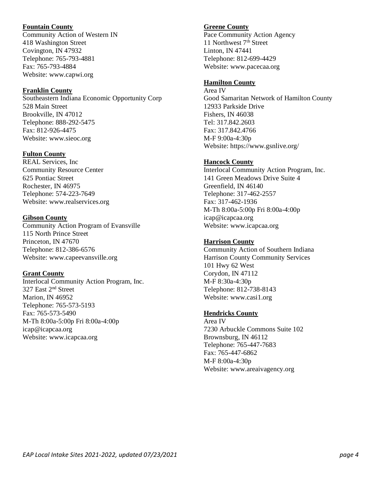## **Fountain County**

Community Action of Western IN 418 Washington Street Covington, IN 47932 Telephone: 765-793-4881 Fax: 765-793-4884 Website: www.capwi.org

## **Franklin County**

Southeastern Indiana Economic Opportunity Corp 528 Main Street Brookville, IN 47012 Telephone: 888-292-5475 Fax: 812-926-4475 Website: www.sieoc.org

# **Fulton County**

REAL Services, Inc Community Resource Center 625 Pontiac Street Rochester, IN 46975 Telephone: 574-223-7649 Website: www.realservices.org

## **Gibson County**

Community Action Program of Evansville 115 North Prince Street Princeton, IN 47670 Telephone: 812-386-6576 Website: www.capeevansville.org

# **Grant County**

Interlocal Community Action Program, Inc. 327 East 2<sup>nd</sup> Street Marion, IN 46952 Telephone: 765-573-5193 Fax: 765-573-5490 M-Th 8:00a-5:00p Fri 8:00a-4:00p icap@icapcaa.org Website: www.icapcaa.org

## **Greene County**

Pace Community Action Agency 11 Northwest 7<sup>th</sup> Street Linton, IN 47441 Telephone: 812-699-4429 Website: www.pacecaa.org

# **Hamilton County**

Area IV Good Samaritan Network of Hamilton County 12933 Parkside Drive Fishers, IN 46038 Tel: 317.842.2603 Fax: 317.842.4766 M-F 9:00a-4:30p Website: https://www.gsnlive.org/

# **Hancock County**

Interlocal Community Action Program, Inc. 141 Green Meadows Drive Suite 4 Greenfield, IN 46140 Telephone: 317-462-2557 Fax: 317-462-1936 M-Th 8:00a-5:00p Fri 8:00a-4:00p icap@icapcaa.org Website: www.icapcaa.org

## **Harrison County**

Community Action of Southern Indiana Harrison County Community Services 101 Hwy 62 West Corydon, IN 47112 M-F 8:30a-4:30p Telephone: 812-738-8143 Website: www.casi1.org

# **Hendricks County**

Area IV 7230 Arbuckle Commons Suite 102 Brownsburg, IN 46112 Telephone: 765-447-7683 Fax: 765-447-6862 M-F 8:00a-4:30p Website: www.areaivagency.org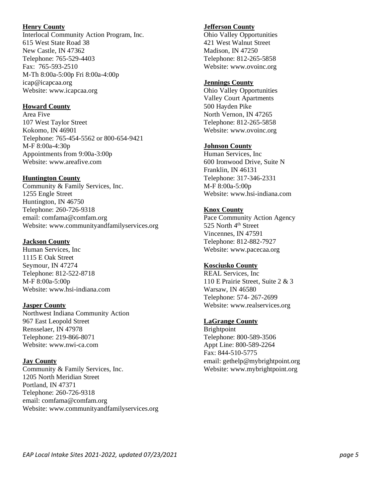### **Henry County**

Interlocal Community Action Program, Inc. 615 West State Road 38 New Castle, IN 47362 Telephone: 765-529-4403 Fax: 765-593-2510 M-Th 8:00a-5:00p Fri 8:00a-4:00p icap@icapcaa.org Website: www.icapcaa.org

## **Howard County**

Area Five 107 West Taylor Street Kokomo, IN 46901 Telephone: 765-454-5562 or 800-654-9421 M-F 8:00a-4:30p Appointments from 9:00a-3:00p Website: www.areafive.com

## **Huntington County**

Community & Family Services, Inc. 1255 Engle Street Huntington, IN 46750 Telephone: 260-726-9318 email: comfama@comfam.org Website: www.communityandfamilyservices.org

## **Jackson County**

Human Services, Inc 1115 E Oak Street Seymour, IN 47274 Telephone: 812-522-8718 M-F 8:00a-5:00p Website: www.hsi-indiana.com

#### **Jasper County**

Northwest Indiana Community Action 967 East Leopold Street Rensselaer, IN 47978 Telephone: 219-866-8071 Website: www.nwi-ca.com

#### **Jay County**

Community & Family Services, Inc. 1205 North Meridian Street Portland, IN 47371 Telephone: 260-726-9318 email: comfama@comfam.org Website: www.communityandfamilyservices.org

## **Jefferson County**

Ohio Valley Opportunities 421 West Walnut Street Madison, IN 47250 Telephone: 812-265-5858 Website: www.ovoinc.org

## **Jennings County**

Ohio Valley Opportunities Valley Court Apartments 500 Hayden Pike North Vernon, IN 47265 Telephone: 812-265-5858 Website: www.ovoinc.org

# **Johnson County**

Human Services, Inc 600 Ironwood Drive, Suite N Franklin, IN 46131 Telephone: 317-346-2331 M-F 8:00a-5:00p Website: www.hsi-indiana.com

# **Knox County**

Pace Community Action Agency 525 North 4<sup>th</sup> Street Vincennes, IN 47591 Telephone: 812-882-7927 Website: www.pacecaa.org

# **Kosciusko County**

REAL Services, Inc 110 E Prairie Street, Suite 2 & 3 Warsaw, IN 46580 Telephone: 574- 267-2699 Website: www.realservices.org

# **LaGrange County**

Brightpoint Telephone: 800-589-3506 Appt Line: 800-589-2264 Fax: 844-510-5775 email: gethelp@mybrightpoint.org Website: www.mybrightpoint.org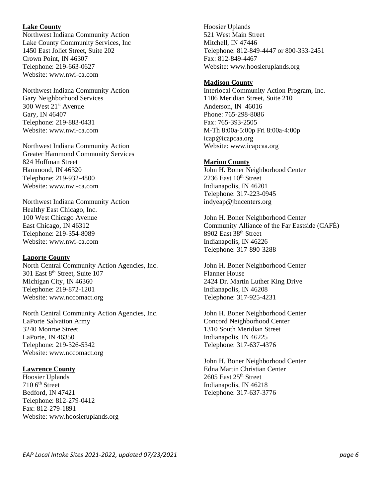#### **Lake County**

Northwest Indiana Community Action Lake County Community Services, Inc 1450 East Joliet Street, Suite 202 Crown Point, IN 46307 Telephone: 219-663-0627 Website: www.nwi-ca.com

Northwest Indiana Community Action Gary Neighborhood Services 300 West 21st Avenue Gary, IN 46407 Telephone: 219-883-0431 Website: www.nwi-ca.com

Northwest Indiana Community Action Greater Hammond Community Services 824 Hoffman Street Hammond, IN 46320 Telephone: 219-932-4800 Website: www.nwi-ca.com

Northwest Indiana Community Action Healthy East Chicago, Inc. 100 West Chicago Avenue East Chicago, IN 46312 Telephone: 219-354-8089 Website: www.nwi-ca.com

#### **Laporte County**

North Central Community Action Agencies, Inc. 301 East 8<sup>th</sup> Street, Suite 107 Michigan City, IN 46360 Telephone: 219-872-1201 Website: www.nccomact.org

North Central Community Action Agencies, Inc. LaPorte Salvation Army 3240 Monroe Street LaPorte, IN 46350 Telephone: 219-326-5342 Website: www.nccomact.org

#### **Lawrence County**

Hoosier Uplands 710 6th Street Bedford, IN 47421 Telephone: 812-279-0412 Fax: 812-279-1891 Website: www.hoosieruplands.org

Hoosier Uplands 521 West Main Street Mitchell, IN 47446 Telephone: 812-849-4447 or 800-333-2451 Fax: 812-849-4467 Website: www.hoosieruplands.org

#### **Madison County**

Interlocal Community Action Program, Inc. 1106 Meridian Street, Suite 210 Anderson, IN 46016 Phone: 765-298-8086 Fax: 765-393-2505 M-Th 8:00a-5:00p Fri 8:00a-4:00p icap@icapcaa.org Website: www.icapcaa.org

#### **Marion County**

John H. Boner Neighborhood Center 2236 East  $10^{th}$  Street Indianapolis, IN 46201 Telephone: 317-223-0945 indyeap@jbncenters.org

John H. Boner Neighborhood Center Community Alliance of the Far Eastside (CAFÉ) 8902 East 38th Street Indianapolis, IN 46226 Telephone: 317-890-3288

John H. Boner Neighborhood Center Flanner House 2424 Dr. Martin Luther King Drive Indianapolis, IN 46208 Telephone: 317-925-4231

John H. Boner Neighborhood Center Concord Neighborhood Center 1310 South Meridian Street Indianapolis, IN 46225 Telephone: 317-637-4376

John H. Boner Neighborhood Center Edna Martin Christian Center 2605 East 25th Street Indianapolis, IN 46218 Telephone: 317-637-3776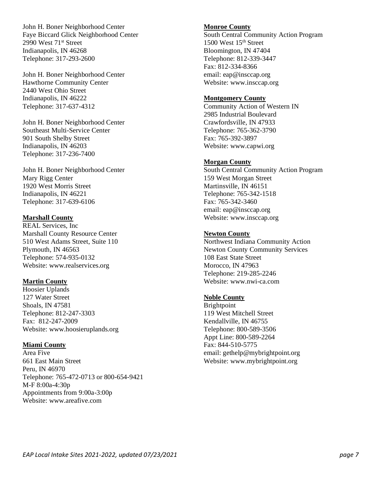John H. Boner Neighborhood Center Faye Biccard Glick Neighborhood Center 2990 West 71<sup>st</sup> Street Indianapolis, IN 46268 Telephone: 317-293-2600

John H. Boner Neighborhood Center Hawthorne Community Center 2440 West Ohio Street Indianapolis, IN 46222 Telephone: 317-637-4312

John H. Boner Neighborhood Center Southeast Multi-Service Center 901 South Shelby Street Indianapolis, IN 46203 Telephone: 317-236-7400

John H. Boner Neighborhood Center Mary Rigg Center 1920 West Morris Street Indianapolis, IN 46221 Telephone: 317-639-6106

## **Marshall County**

REAL Services, Inc Marshall County Resource Center 510 West Adams Street, Suite 110 Plymouth, IN 46563 Telephone: 574-935-0132 Website: www.realservices.org

#### **Martin County**

Hoosier Uplands 127 Water Street Shoals, IN 47581 Telephone: 812-247-3303 Fax: 812-247-2009 Website: www.hoosieruplands.org

#### **Miami County**

Area Five 661 East Main Street Peru, IN 46970 Telephone: 765-472-0713 or 800-654-9421 M-F 8:00a-4:30p Appointments from 9:00a-3:00p Website: www.areafive.com

#### **Monroe County**

South Central Community Action Program 1500 West 15th Street Bloomington, IN 47404 Telephone: 812-339-3447 Fax: 812-334-8366 email: eap@insccap.org Website: www.insccap.org

#### **Montgomery County**

Community Action of Western IN 2985 Industrial Boulevard Crawfordsville, IN 47933 Telephone: 765-362-3790 Fax: 765-392-3897 Website: www.capwi.org

#### **Morgan County**

South Central Community Action Program 159 West Morgan Street Martinsville, IN 46151 Telephone: 765-342-1518 Fax: 765-342-3460 email: eap@insccap.org Website: www.insccap.org

#### **Newton County**

Northwest Indiana Community Action Newton County Community Services 108 East State Street Morocco, IN 47963 Telephone: 219-285-2246 Website: www.nwi-ca.com

#### **Noble County**

Brightpoint 119 West Mitchell Street Kendallville, IN 46755 Telephone: 800-589-3506 Appt Line: 800-589-2264 Fax: 844-510-5775 email: gethelp@mybrightpoint.org Website: www.mybrightpoint.org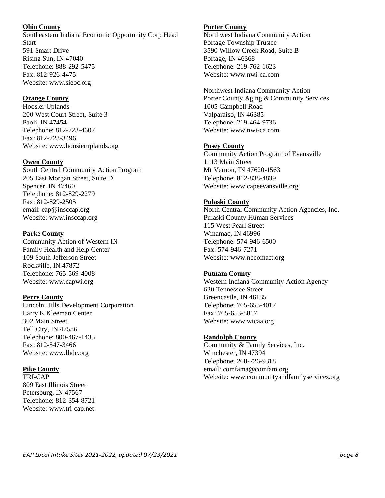## **Ohio County**

Southeastern Indiana Economic Opportunity Corp Head **Start** 591 Smart Drive Rising Sun, IN 47040 Telephone: 888-292-5475 Fax: 812-926-4475 Website: www.sieoc.org

## **Orange County**

Hoosier Uplands 200 West Court Street, Suite 3 Paoli, IN 47454 Telephone: 812-723-4607 Fax: 812-723-3496 Website: www.hoosieruplands.org

## **Owen County**

South Central Community Action Program 205 East Morgan Street, Suite D Spencer, IN 47460 Telephone: 812-829-2279 Fax: 812-829-2505 email: eap@insccap.org Website: www.insccap.org

# **Parke County**

Community Action of Western IN Family Health and Help Center 109 South Jefferson Street Rockville, IN 47872 Telephone: 765-569-4008 Website: www.capwi.org

# **Perry County**

Lincoln Hills Development Corporation Larry K Kleeman Center 302 Main Street Tell City, IN 47586 Telephone: 800-467-1435 Fax: 812-547-3466 Website: www.lhdc.org

# **Pike County**

TRI-CAP 809 East Illinois Street Petersburg, IN 47567 Telephone: 812-354-8721 Website: www.tri-cap.net

# **Porter County**

Northwest Indiana Community Action Portage Township Trustee 3590 Willow Creek Road, Suite B Portage, IN 46368 Telephone: 219-762-1623 Website: www.nwi-ca.com

Northwest Indiana Community Action Porter County Aging & Community Services 1005 Campbell Road Valparaiso, IN 46385 Telephone: 219-464-9736 Website: www.nwi-ca.com

# **Posey County**

Community Action Program of Evansville 1113 Main Street Mt Vernon, IN 47620-1563 Telephone: 812-838-4839 Website: www.capeevansville.org

## **Pulaski County**

North Central Community Action Agencies, Inc. Pulaski County Human Services 115 West Pearl Street Winamac, IN 46996 Telephone: 574-946-6500 Fax: 574-946-7271 Website: www.nccomact.org

# **Putnam County**

Western Indiana Community Action Agency 620 Tennessee Street Greencastle, IN 46135 Telephone: 765-653-4017 Fax: 765-653-8817 Website: www.wicaa.org

# **Randolph County**

Community & Family Services, Inc. Winchester, IN 47394 Telephone: 260-726-9318 email: comfama@comfam.org Website: www.communityandfamilyservices.org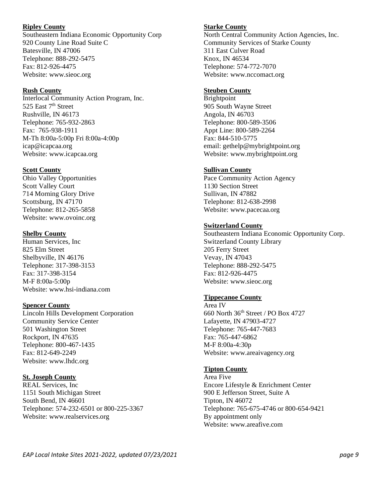## **Ripley County**

Southeastern Indiana Economic Opportunity Corp 920 County Line Road Suite C Batesville, IN 47006 Telephone: 888-292-5475 Fax: 812-926-4475 Website: www.sieoc.org

## **Rush County**

Interlocal Community Action Program, Inc. 525 East 7<sup>th</sup> Street Rushville, IN 46173 Telephone: 765-932-2863 Fax: 765-938-1911 M-Th 8:00a-5:00p Fri 8:00a-4:00p icap@icapcaa.org Website: www.icapcaa.org

## **Scott County**

Ohio Valley Opportunities Scott Valley Court 714 Morning Glory Drive Scottsburg, IN 47170 Telephone: 812-265-5858 Website: www.ovoinc.org

## **Shelby County**

Human Services, Inc 825 Elm Street Shelbyville, IN 46176 Telephone: 317-398-3153 Fax: 317-398-3154 M-F 8:00a-5:00p Website: www.hsi-indiana.com

# **Spencer County**

Lincoln Hills Development Corporation Community Service Center 501 Washington Street Rockport, IN 47635 Telephone: 800-467-1435 Fax: 812-649-2249 Website: www.lhdc.org

# **St. Joseph County**

REAL Services, Inc 1151 South Michigan Street South Bend, IN 46601 Telephone: 574-232-6501 or 800-225-3367 Website: www.realservices.org

## **Starke County**

North Central Community Action Agencies, Inc. Community Services of Starke County 311 East Culver Road Knox, IN 46534 Telephone: 574-772-7070 Website: www.nccomact.org

## **Steuben County**

Brightpoint 905 South Wayne Street Angola, IN 46703 Telephone: 800-589-3506 Appt Line: 800-589-2264 Fax: 844-510-5775 email: gethelp@mybrightpoint.org Website: www.mybrightpoint.org

## **Sullivan County**

Pace Community Action Agency 1130 Section Street Sullivan, IN 47882 Telephone: 812-638-2998 Website: www.pacecaa.org

## **Switzerland County**

Southeastern Indiana Economic Opportunity Corp. Switzerland County Library 205 Ferry Street Vevay, IN 47043 Telephone: 888-292-5475 Fax: 812-926-4475 Website: www.sieoc.org

# **Tippecanoe County**

Area IV 660 North 36th Street / PO Box 4727 Lafayette, IN 47903-4727 Telephone: 765-447-7683 Fax: 765-447-6862 M-F 8:00a-4:30p Website: www.areaivagency.org

#### **Tipton County**

Area Five Encore Lifestyle & Enrichment Center 900 E Jefferson Street, Suite A Tipton, IN 46072 Telephone: 765-675-4746 or 800-654-9421 By appointment only Website: www.areafive.com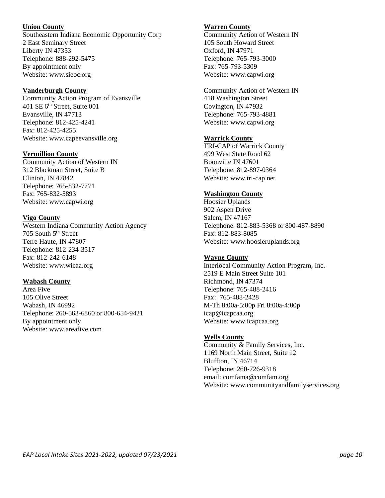## **Union County**

Southeastern Indiana Economic Opportunity Corp 2 East Seminary Street Liberty IN 47353 Telephone: 888-292-5475 By appointment only Website: www.sieoc.org

## **Vanderburgh County**

Community Action Program of Evansville 401 SE 6th Street, Suite 001 Evansville, IN 47713 Telephone: 812-425-4241 Fax: 812-425-4255 Website: www.capeevansville.org

## **Vermillion County**

Community Action of Western IN 312 Blackman Street, Suite B Clinton, IN 47842. Telephone: 765-832-7771 Fax: 765-832-5893 Website: www.capwi.org

## **Vigo County**

Western Indiana Community Action Agency 705 South 5<sup>th</sup> Street Terre Haute, IN 47807 Telephone: 812-234-3517 Fax: 812-242-6148 Website: www.wicaa.org

# **Wabash County**

Area Five 105 Olive Street Wabash, IN 46992 Telephone: 260-563-6860 or 800-654-9421 By appointment only Website: www.areafive.com

# **Warren County**

Community Action of Western IN 105 South Howard Street Oxford, IN 47971 Telephone: 765-793-3000 Fax: 765-793-5309 Website: www.capwi.org

Community Action of Western IN 418 Washington Street Covington, IN 47932 Telephone: 765-793-4881 Website: www.capwi.org

# **Warrick County**

TRI-CAP of Warrick County 499 West State Road 62 Boonville IN 47601 Telephone: 812-897-0364 Website: www.tri-cap.net

# **Washington County**

Hoosier Uplands 902 Aspen Drive Salem, IN 47167 Telephone: 812-883-5368 or 800-487-8890 Fax: 812-883-8085 Website: www.hoosieruplands.org

# **Wayne County**

Interlocal Community Action Program, Inc. 2519 E Main Street Suite 101 Richmond, IN 47374 Telephone: 765-488-2416 Fax: 765-488-2428 M-Th 8:00a-5:00p Fri 8:00a-4:00p icap@icapcaa.org Website: www.icapcaa.org

# **Wells County**

Community & Family Services, Inc. 1169 North Main Street, Suite 12 Bluffton, IN 46714 Telephone: 260-726-9318 email: comfama@comfam.org Website: www.communityandfamilyservices.org